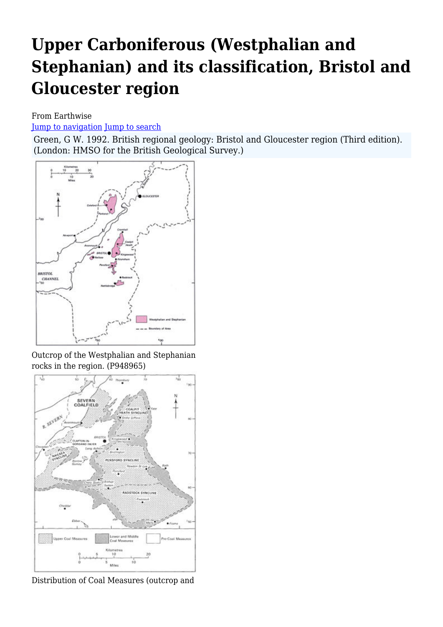# **Upper Carboniferous (Westphalian and Stephanian) and its classification, Bristol and Gloucester region**

#### From Earthwise

[Jump to navigation](#page--1-0) [Jump to search](#page--1-0)

Green, G W. 1992. British regional geology: Bristol and Gloucester region (Third edition). (London: HMSO for the British Geological Survey.)



Outcrop of the Westphalian and Stephanian rocks in the region. (P948965)



Distribution of Coal Measures (outcrop and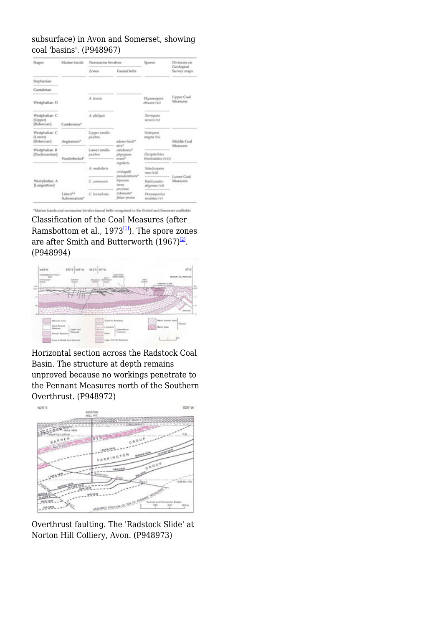subsurface) in Avon and Somerset, showing coal 'basins'. (P948967)

| Stages                                   | Marine bands                          | Nonnarine bivalves         |                                                                                                                                                                                                        | Spones                                 | Divisions on<br>Geological |
|------------------------------------------|---------------------------------------|----------------------------|--------------------------------------------------------------------------------------------------------------------------------------------------------------------------------------------------------|----------------------------------------|----------------------------|
|                                          |                                       | Zones                      | Faunal belts                                                                                                                                                                                           |                                        | Survey maps                |
| Stephanian                               |                                       |                            |                                                                                                                                                                                                        |                                        |                            |
| Cantabrian                               |                                       |                            |                                                                                                                                                                                                        |                                        |                            |
| Westphalian D                            |                                       | A. Irwain                  |                                                                                                                                                                                                        | Тумномирова:<br>obscura (sá)           | Upper Coal<br>Measures     |
| Westphalian C<br>(Upper).<br>[Bolsovian] | Cambriense <sup>®</sup>               | A. philipsii               | Adams-hind?"<br>atra*<br>caledonica*<br>phyrgiana<br><b>JONAY*</b><br>regularis<br>cristagelli<br>pseudonbusta <sup>s</sup><br>bipensols:<br><b>Eorus</b><br>pyccoletat<br>extenuata*<br>falley-protos | Torrispone<br>smaris (s)               |                            |
| Westphalian C<br>(Lower)<br>[Bolsovian]  | Aegiranum*                            | Upper similis-<br>putches. |                                                                                                                                                                                                        | <b><i>Vistispora</i></b><br>magna (ix) | Middle Coal<br>Moasures    |
| Westphalian B<br>[Duckmantian]           | Vanderbeckei*                         | Lower similis-<br>pulches  |                                                                                                                                                                                                        | Dictyotrilates<br>Neeticulatus (viii)  |                            |
| Westphalian A<br>[Langsettian]           |                                       | A. modiolaris              |                                                                                                                                                                                                        | Schulzespora<br>nana (vii.)            | Lower Coal<br>Measures     |
|                                          |                                       | C. communit                |                                                                                                                                                                                                        | Radiinmates<br>aligences (vi)          |                            |
|                                          | Listeri*?<br>Subcrenatum <sup>®</sup> | C. Innisidade              |                                                                                                                                                                                                        | Demosporites<br>anulatus (v)           |                            |

Classification of the Coal Measures (after Ramsbottom et al.,  $1973^{11}$ ). The spore zones are after Smith and Butterworth (1967)<sup>[\[2\]](#page--1-0)</sup>. (P948994)



Horizontal section across the Radstock Coal Basin. The structure at depth remains unproved because no workings penetrate to the Pennant Measures north of the Southern Overthrust. (P948972)



Overthrust faulting. The 'Radstock Slide' at Norton Hill Colliery, Avon. (P948973)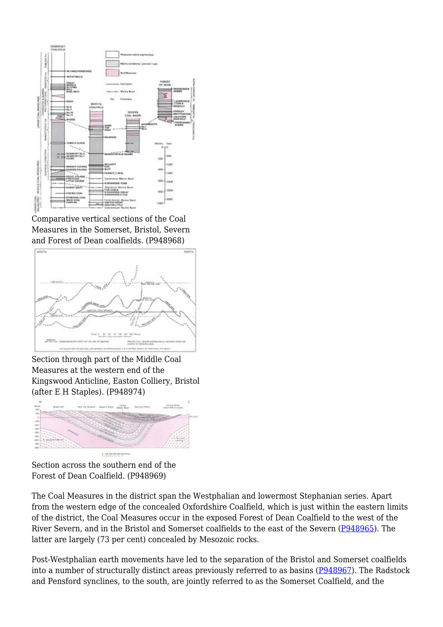

Comparative vertical sections of the Coal Measures in the Somerset, Bristol, Severn and Forest of Dean coalfields. (P948968)



Section through part of the Middle Coal Measures at the western end of the Kingswood Anticline, Easton Colliery, Bristol (after E H Staples). (P948974)



Section across the southern end of the Forest of Dean Coalfield. (P948969)

The Coal Measures in the district span the Westphalian and lowermost Stephanian series. Apart from the western edge of the concealed Oxfordshire Coalfield, which is just within the eastern limits of the district, the Coal Measures occur in the exposed Forest of Dean Coalfield to the west of the River Severn, and in the Bristol and Somerset coalfields to the east of the Severn [\(P948965\)](http://earthwise.bgs.ac.uk/images/4/43/P948965.jpg). The latter are largely (73 per cent) concealed by Mesozoic rocks.

Post-Westphalian earth movements have led to the separation of the Bristol and Somerset coalfields into a number of structurally distinct areas previously referred to as basins [\(P948967\)](http://earthwise.bgs.ac.uk/images/0/0d/P948967.jpg). The Radstock and Pensford synclines, to the south, are jointly referred to as the Somerset Coalfield, and the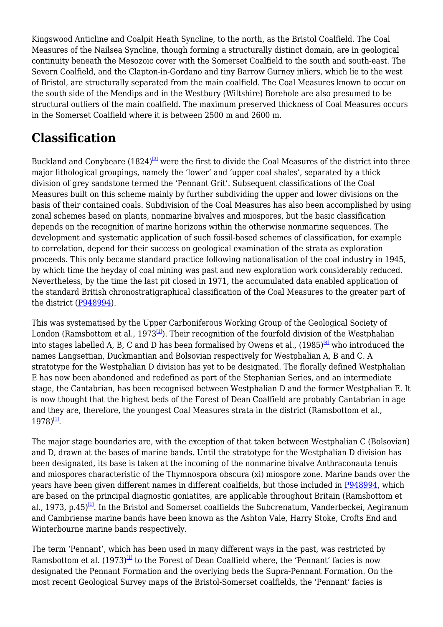Kingswood Anticline and Coalpit Heath Syncline, to the north, as the Bristol Coalfield. The Coal Measures of the Nailsea Syncline, though forming a structurally distinct domain, are in geological continuity beneath the Mesozoic cover with the Somerset Coalfield to the south and south-east. The Severn Coalfield, and the Clapton-in-Gordano and tiny Barrow Gurney inliers, which lie to the west of Bristol, are structurally separated from the main coalfield. The Coal Measures known to occur on the south side of the Mendips and in the Westbury (Wiltshire) Borehole are also presumed to be structural outliers of the main coalfield. The maximum preserved thickness of Coal Measures occurs in the Somerset Coalfield where it is between 2500 m and 2600 m.

## **Classification**

Buckland and Conybeare  $(1824)^{[3]}$  $(1824)^{[3]}$  $(1824)^{[3]}$  were the first to divide the Coal Measures of the district into three major lithological groupings, namely the 'lower' and 'upper coal shales', separated by a thick division of grey sandstone termed the 'Pennant Grit'. Subsequent classifications of the Coal Measures built on this scheme mainly by further subdividing the upper and lower divisions on the basis of their contained coals. Subdivision of the Coal Measures has also been accomplished by using zonal schemes based on plants, nonmarine bivalves and miospores, but the basic classification depends on the recognition of marine horizons within the otherwise nonmarine sequences. The development and systematic application of such fossil-based schemes of classification, for example to correlation, depend for their success on geological examination of the strata as exploration proceeds. This only became standard practice following nationalisation of the coal industry in 1945, by which time the heyday of coal mining was past and new exploration work considerably reduced. Nevertheless, by the time the last pit closed in 1971, the accumulated data enabled application of the standard British chronostratigraphical classification of the Coal Measures to the greater part of the district  $(P948994)$  $(P948994)$  $(P948994)$ .

This was systematised by the Upper Carboniferous Working Group of the Geological Society of London (Ramsbottom et al., 1973 $\text{H}$ ). Their recognition of the fourfold division of the Westphalian into stages labelled A, B, C and D has been formalised by Owens et al.,  $(1985)^{4}$  who introduced the names Langsettian, Duckmantian and Bolsovian respectively for Westphalian A, B and C. A stratotype for the Westphalian D division has yet to be designated. The florally defined Westphalian E has now been abandoned and redefined as part of the Stephanian Series, and an intermediate stage, the Cantabrian, has been recognised between Westphalian D and the former Westphalian E. It is now thought that the highest beds of the Forest of Dean Coalfield are probably Cantabrian in age and they are, therefore, the youngest Coal Measures strata in the district (Ramsbottom et al.,  $1978)^{11}$ .

The major stage boundaries are, with the exception of that taken between Westphalian C (Bolsovian) and D, drawn at the bases of marine bands. Until the stratotype for the Westphalian D division has been designated, its base is taken at the incoming of the nonmarine bivalve Anthraconauta tenuis and miospores characteristic of the Thymnospora obscura (xi) miospore zone. Marine bands over the years have been given different names in different coalfields, but those included in [P948994](http://earthwise.bgs.ac.uk/images/4/43/P948994.jpg), which are based on the principal diagnostic goniatites, are applicable throughout Britain (Ramsbottom et al., 1973, p.45)<sup>[\[1\]](#page--1-0)</sup>. In the Bristol and Somerset coalfields the Subcrenatum, Vanderbeckei, Aegiranum and Cambriense marine bands have been known as the Ashton Vale, Harry Stoke, Crofts End and Winterbourne marine bands respectively.

The term 'Pennant', which has been used in many different ways in the past, was restricted by Ramsbottom et al.  $(1973)^{11}$  to the Forest of Dean Coalfield where, the 'Pennant' facies is now designated the Pennant Formation and the overlying beds the Supra-Pennant Formation. On the most recent Geological Survey maps of the Bristol-Somerset coalfields, the 'Pennant' facies is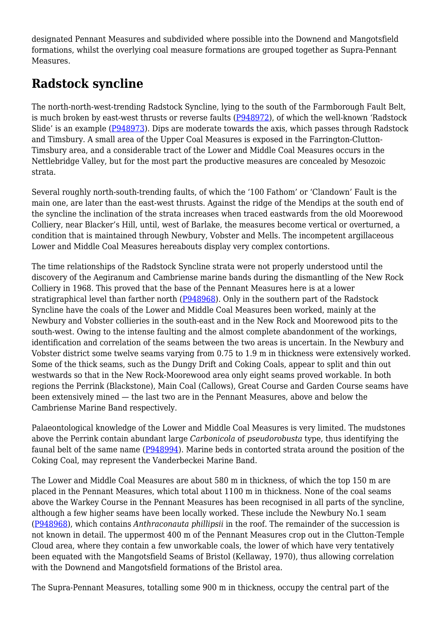designated Pennant Measures and subdivided where possible into the Downend and Mangotsfield formations, whilst the overlying coal measure formations are grouped together as Supra-Pennant Measures.

## **Radstock syncline**

The north-north-west-trending Radstock Syncline, lying to the south of the Farmborough Fault Belt, is much broken by east-west thrusts or reverse faults [\(P948972\)](http://earthwise.bgs.ac.uk/images/f/fb/P948972.jpg), of which the well-known 'Radstock Slide' is an example ([P948973](http://earthwise.bgs.ac.uk/images/c/cc/P948973.jpg)). Dips are moderate towards the axis, which passes through Radstock and Timsbury. A small area of the Upper Coal Measures is exposed in the Farrington-Clutton-Timsbury area, and a considerable tract of the Lower and Middle Coal Measures occurs in the Nettlebridge Valley, but for the most part the productive measures are concealed by Mesozoic strata.

Several roughly north-south-trending faults, of which the '100 Fathom' or 'Clandown' Fault is the main one, are later than the east-west thrusts. Against the ridge of the Mendips at the south end of the syncline the inclination of the strata increases when traced eastwards from the old Moorewood Colliery, near Blacker's Hill, until, west of Barlake, the measures become vertical or overturned, a condition that is maintained through Newbury, Vobster and Mells. The incompetent argillaceous Lower and Middle Coal Measures hereabouts display very complex contortions.

The time relationships of the Radstock Syncline strata were not properly understood until the discovery of the Aegiranum and Cambriense marine bands during the dismantling of the New Rock Colliery in 1968. This proved that the base of the Pennant Measures here is at a lower stratigraphical level than farther north [\(P948968\)](http://earthwise.bgs.ac.uk/images/2/23/P948968.jpg). Only in the southern part of the Radstock Syncline have the coals of the Lower and Middle Coal Measures been worked, mainly at the Newbury and Vobster collieries in the south-east and in the New Rock and Moorewood pits to the south-west. Owing to the intense faulting and the almost complete abandonment of the workings, identification and correlation of the seams between the two areas is uncertain. In the Newbury and Vobster district some twelve seams varying from 0.75 to 1.9 m in thickness were extensively worked. Some of the thick seams, such as the Dungy Drift and Coking Coals, appear to split and thin out westwards so that in the New Rock-Moorewood area only eight seams proved workable. In both regions the Perrink (Blackstone), Main Coal (Callows), Great Course and Garden Course seams have been extensively mined — the last two are in the Pennant Measures, above and below the Cambriense Marine Band respectively.

Palaeontological knowledge of the Lower and Middle Coal Measures is very limited. The mudstones above the Perrink contain abundant large *Carbonicola* of *pseudorobusta* type, thus identifying the faunal belt of the same name ([P948994\)](http://earthwise.bgs.ac.uk/images/4/43/P948994.jpg). Marine beds in contorted strata around the position of the Coking Coal, may represent the Vanderbeckei Marine Band.

The Lower and Middle Coal Measures are about 580 m in thickness, of which the top 150 m are placed in the Pennant Measures, which total about 1100 m in thickness. None of the coal seams above the Warkey Course in the Pennant Measures has been recognised in all parts of the syncline, although a few higher seams have been locally worked. These include the Newbury No.1 seam [\(P948968\)](http://earthwise.bgs.ac.uk/images/2/23/P948968.jpg), which contains *Anthraconauta phillipsii* in the roof. The remainder of the succession is not known in detail. The uppermost 400 m of the Pennant Measures crop out in the Clutton-Temple Cloud area, where they contain a few unworkable coals, the lower of which have very tentatively been equated with the Mangotsfield Seams of Bristol (Kellaway, 1970), thus allowing correlation with the Downend and Mangotsfield formations of the Bristol area.

The Supra-Pennant Measures, totalling some 900 m in thickness, occupy the central part of the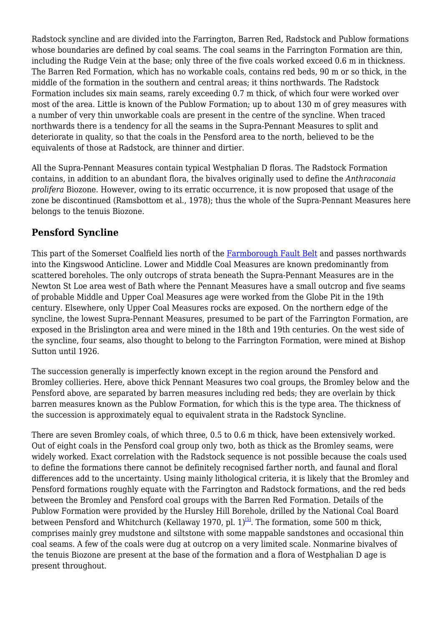Radstock syncline and are divided into the Farrington, Barren Red, Radstock and Publow formations whose boundaries are defined by coal seams. The coal seams in the Farrington Formation are thin, including the Rudge Vein at the base; only three of the five coals worked exceed 0.6 m in thickness. The Barren Red Formation, which has no workable coals, contains red beds, 90 m or so thick, in the middle of the formation in the southern and central areas; it thins northwards. The Radstock Formation includes six main seams, rarely exceeding 0.7 m thick, of which four were worked over most of the area. Little is known of the Publow Formation; up to about 130 m of grey measures with a number of very thin unworkable coals are present in the centre of the syncline. When traced northwards there is a tendency for all the seams in the Supra-Pennant Measures to split and deteriorate in quality, so that the coals in the Pensford area to the north, believed to be the equivalents of those at Radstock, are thinner and dirtier.

All the Supra-Pennant Measures contain typical Westphalian D floras. The Radstock Formation contains, in addition to an abundant flora, the bivalves originally used to define the *Anthraconaia prolifera* Biozone. However, owing to its erratic occurrence, it is now proposed that usage of the zone be discontinued (Ramsbottom et al., 1978); thus the whole of the Supra-Pennant Measures here belongs to the tenuis Biozone.

## **Pensford Syncline**

This part of the Somerset Coalfield lies north of the **Farmborough Fault Belt** and passes northwards into the Kingswood Anticline. Lower and Middle Coal Measures are known predominantly from scattered boreholes. The only outcrops of strata beneath the Supra-Pennant Measures are in the Newton St Loe area west of Bath where the Pennant Measures have a small outcrop and five seams of probable Middle and Upper Coal Measures age were worked from the Globe Pit in the 19th century. Elsewhere, only Upper Coal Measures rocks are exposed. On the northern edge of the syncline, the lowest Supra-Pennant Measures, presumed to be part of the Farrington Formation, are exposed in the Brislington area and were mined in the 18th and 19th centuries. On the west side of the syncline, four seams, also thought to belong to the Farrington Formation, were mined at Bishop Sutton until 1926.

The succession generally is imperfectly known except in the region around the Pensford and Bromley collieries. Here, above thick Pennant Measures two coal groups, the Bromley below and the Pensford above, are separated by barren measures including red beds; they are overlain by thick barren measures known as the Publow Formation, for which this is the type area. The thickness of the succession is approximately equal to equivalent strata in the Radstock Syncline.

There are seven Bromley coals, of which three, 0.5 to 0.6 m thick, have been extensively worked. Out of eight coals in the Pensford coal group only two, both as thick as the Bromley seams, were widely worked. Exact correlation with the Radstock sequence is not possible because the coals used to define the formations there cannot be definitely recognised farther north, and faunal and floral differences add to the uncertainty. Using mainly lithological criteria, it is likely that the Bromley and Pensford formations roughly equate with the Farrington and Radstock formations, and the red beds between the Bromley and Pensford coal groups with the Barren Red Formation. Details of the Publow Formation were provided by the Hursley Hill Borehole, drilled by the National Coal Board between Pensford and Whitchurch (Kellaway 1970, pl.  $1^{5}$ ). The formation, some 500 m thick, comprises mainly grey mudstone and siltstone with some mappable sandstones and occasional thin coal seams. A few of the coals were dug at outcrop on a very limited scale. Nonmarine bivalves of the tenuis Biozone are present at the base of the formation and a flora of Westphalian D age is present throughout.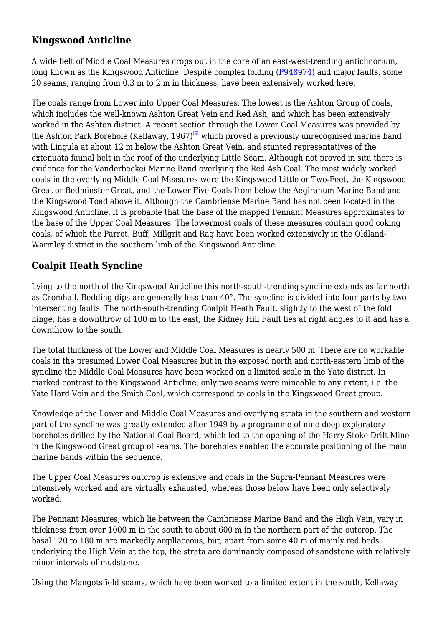## **Kingswood Anticline**

A wide belt of Middle Coal Measures crops out in the core of an east-west-trending anticlinorium, long known as the Kingswood Anticline. Despite complex folding ([P948974](http://earthwise.bgs.ac.uk/images/4/4c/P948974.jpg)) and major faults, some 20 seams, ranging from 0.3 m to 2 m in thickness, have been extensively worked here.

The coals range from Lower into Upper Coal Measures. The lowest is the Ashton Group of coals, which includes the well-known Ashton Great Vein and Red Ash, and which has been extensively worked in the Ashton district. A recent section through the Lower Coal Measures was provided by the Ashton Park Borehole (Kellaway, 1967)<sup>[\[6\]](#page--1-0)</sup> which proved a previously unrecognised marine band with Lingula at about 12 m below the Ashton Great Vein, and stunted representatives of the extenuata faunal belt in the roof of the underlying Little Seam. Although not proved in situ there is evidence for the Vanderbeckei Marine Band overlying the Red Ash Coal. The most widely worked coals in the overlying Middle Coal Measures were the Kingswood Little or Two-Feet, the Kingswood Great or Bedminster Great, and the Lower Five Coals from below the Aegiranum Marine Band and the Kingswood Toad above it. Although the Cambriense Marine Band has not been located in the Kingswood Anticline, it is probable that the base of the mapped Pennant Measures approximates to the base of the Upper Coal Measures. The lowermost coals of these measures contain good coking coals, of which the Parrot, Buff, Millgrit and Rag have been worked extensively in the Oldland-Warmley district in the southern limb of the Kingswood Anticline.

## **Coalpit Heath Syncline**

Lying to the north of the Kingswood Anticline this north-south-trending syncline extends as far north as Cromhall. Bedding dips are generally less than 40°. The syncline is divided into four parts by two intersecting faults. The north-south-trending Coalpit Heath Fault, slightly to the west of the fold hinge, has a downthrow of 100 m to the east; the Kidney Hill Fault lies at right angles to it and has a downthrow to the south.

The total thickness of the Lower and Middle Coal Measures is nearly 500 m. There are no workable coals in the presumed Lower Coal Measures but in the exposed north and north-eastern limb of the syncline the Middle Coal Measures have been worked on a limited scale in the Yate district. In marked contrast to the Kingswood Anticline, only two seams were mineable to any extent, i.e. the Yate Hard Vein and the Smith Coal, which correspond to coals in the Kingswood Great group.

Knowledge of the Lower and Middle Coal Measures and overlying strata in the southern and western part of the syncline was greatly extended after 1949 by a programme of nine deep exploratory boreholes drilled by the National Coal Board, which led to the opening of the Harry Stoke Drift Mine in the Kingswood Great group of seams. The boreholes enabled the accurate positioning of the main marine bands within the sequence.

The Upper Coal Measures outcrop is extensive and coals in the Supra-Pennant Measures were intensively worked and are virtually exhausted, whereas those below have been only selectively worked.

The Pennant Measures, which lie between the Cambriense Marine Band and the High Vein, vary in thickness from over 1000 m in the south to about 600 m in the northern part of the outcrop. The basal 120 to 180 m are markedly argillaceous, but, apart from some 40 m of mainly red beds underlying the High Vein at the top, the strata are dominantly composed of sandstone with relatively minor intervals of mudstone.

Using the Mangotsfield seams, which have been worked to a limited extent in the south, Kellaway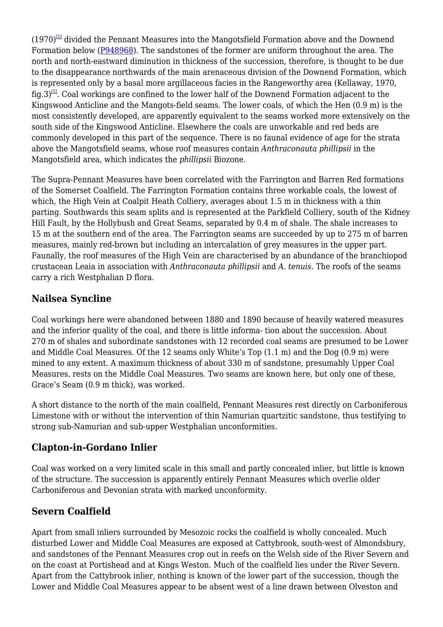$(1970)^{51}$  divided the Pennant Measures into the Mangotsfield Formation above and the Downend Formation below ([P948968](http://earthwise.bgs.ac.uk/images/2/23/P948968.jpg)). The sandstones of the former are uniform throughout the area. The north and north-eastward diminution in thickness of the succession, therefore, is thought to be due to the disappearance northwards of the main arenaceous division of the Downend Formation, which is represented only by a basal more argillaceous facies in the Rangeworthy area (Kellaway, 1970,  $f_{\text{H}}(3)$ <sup>[\[5\]](#page--1-0)</sup>. Coal workings are confined to the lower half of the Downend Formation adjacent to the Kingswood Anticline and the Mangots-field seams. The lower coals, of which the Hen (0.9 m) is the most consistently developed, are apparently equivalent to the seams worked more extensively on the south side of the Kingswood Anticline. Elsewhere the coals are unworkable and red beds are commonly developed in this part of the sequence. There is no faunal evidence of age for the strata above the Mangotsfield seams, whose roof measures contain *Anthraconauta phillipsii* in the Mangotsfield area, which indicates the *phillipsii* Biozone.

The Supra-Pennant Measures have been correlated with the Farrington and Barren Red formations of the Somerset Coalfield. The Farrington Formation contains three workable coals, the lowest of which, the High Vein at Coalpit Heath Colliery, averages about 1.5 m in thickness with a thin parting. Southwards this seam splits and is represented at the Parkfield Colliery, south of the Kidney Hill Fault, by the Hollybush and Great Seams, separated by 0.4 m of shale. The shale increases to 15 m at the southern end of the area. The Farrington seams are succeeded by up to 275 m of barren measures, mainly red-brown but including an intercalation of grey measures in the upper part. Faunally, the roof measures of the High Vein are characterised by an abundance of the branchiopod crustacean Leaia in association with *Anthraconauta phillipsii* and *A. tenuis*. The roofs of the seams carry a rich Westphalian D flora.

## **Nailsea Syncline**

Coal workings here were abandoned between 1880 and 1890 because of heavily watered measures and the inferior quality of the coal, and there is little informa- tion about the succession. About 270 m of shales and subordinate sandstones with 12 recorded coal seams are presumed to be Lower and Middle Coal Measures. Of the 12 seams only White's Top (1.1 m) and the Dog (0.9 m) were mined to any extent. A maximum thickness of about 330 m of sandstone, presumably Upper Coal Measures, rests on the Middle Coal Measures. Two seams are known here, but only one of these, Grace's Seam (0.9 m thick), was worked.

A short distance to the north of the main coalfield, Pennant Measures rest directly on Carboniferous Limestone with or without the intervention of thin Namurian quartzitic sandstone, thus testifying to strong sub-Namurian and sub-upper Westphalian unconformities.

## **Clapton-in-Gordano Inlier**

Coal was worked on a very limited scale in this small and partly concealed inlier, but little is known of the structure. The succession is apparently entirely Pennant Measures which overlie older Carboniferous and Devonian strata with marked unconformity.

## **Severn Coalfield**

Apart from small inliers surrounded by Mesozoic rocks the coalfield is wholly concealed. Much disturbed Lower and Middle Coal Measures are exposed at Cattybrook, south-west of Almondsbury, and sandstones of the Pennant Measures crop out in reefs on the Welsh side of the River Severn and on the coast at Portishead and at Kings Weston. Much of the coalfield lies under the River Severn. Apart from the Cattybrook inlier, nothing is known of the lower part of the succession, though the Lower and Middle Coal Measures appear to be absent west of a line drawn between Olveston and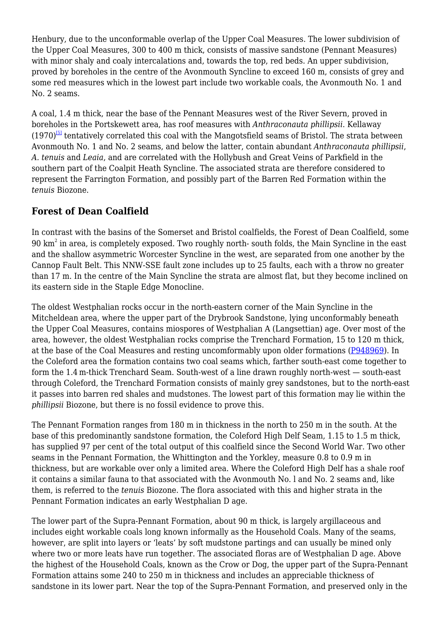Henbury, due to the unconformable overlap of the Upper Coal Measures. The lower subdivision of the Upper Coal Measures, 300 to 400 m thick, consists of massive sandstone (Pennant Measures) with minor shaly and coaly intercalations and, towards the top, red beds. An upper subdivision, proved by boreholes in the centre of the Avonmouth Syncline to exceed 160 m, consists of grey and some red measures which in the lowest part include two workable coals, the Avonmouth No. 1 and No. 2 seams.

A coal, 1.4 m thick, near the base of the Pennant Measures west of the River Severn, proved in boreholes in the Portskewett area, has roof measures with *Anthraconauta phillipsii*. Kellaway  $(1970)^{51}$  tentatively correlated this coal with the Mangotsfield seams of Bristol. The strata between Avonmouth No. 1 and No. 2 seams, and below the latter, contain abundant *Anthraconauta phillipsii*, *A. tenuis* and *Leaia*, and are correlated with the Hollybush and Great Veins of Parkfield in the southern part of the Coalpit Heath Syncline. The associated strata are therefore considered to represent the Farrington Formation, and possibly part of the Barren Red Formation within the *tenuis* Biozone.

## **Forest of Dean Coalfield**

In contrast with the basins of the Somerset and Bristol coalfields, the Forest of Dean Coalfield, some  $90 \mathrm{~km}^2$  in area, is completely exposed. Two roughly north- south folds, the Main Syncline in the east and the shallow asymmetric Worcester Syncline in the west, are separated from one another by the Cannop Fault Belt. This NNW-SSE fault zone includes up to 25 faults, each with a throw no greater than 17 m. In the centre of the Main Syncline the strata are almost flat, but they become inclined on its eastern side in the Staple Edge Monocline.

The oldest Westphalian rocks occur in the north-eastern corner of the Main Syncline in the Mitcheldean area, where the upper part of the Drybrook Sandstone, lying unconformably beneath the Upper Coal Measures, contains miospores of Westphalian A (Langsettian) age. Over most of the area, however, the oldest Westphalian rocks comprise the Trenchard Formation, 15 to 120 m thick, at the base of the Coal Measures and resting uncomformably upon older formations ([P948969](http://earthwise.bgs.ac.uk/images/6/6b/P948969.jpg)). In the Coleford area the formation contains two coal seams which, farther south-east come together to form the 1.4 m-thick Trenchard Seam. South-west of a line drawn roughly north-west — south-east through Coleford, the Trenchard Formation consists of mainly grey sandstones, but to the north-east it passes into barren red shales and mudstones. The lowest part of this formation may lie within the *phillipsii* Biozone, but there is no fossil evidence to prove this.

The Pennant Formation ranges from 180 m in thickness in the north to 250 m in the south. At the base of this predominantly sandstone formation, the Coleford High Delf Seam, 1.15 to 1.5 m thick, has supplied 97 per cent of the total output of this coalfield since the Second World War. Two other seams in the Pennant Formation, the Whittington and the Yorkley, measure 0.8 to 0.9 m in thickness, but are workable over only a limited area. Where the Coleford High Delf has a shale roof it contains a similar fauna to that associated with the Avonmouth No. l and No. 2 seams and, like them, is referred to the *tenuis* Biozone. The flora associated with this and higher strata in the Pennant Formation indicates an early Westphalian D age.

The lower part of the Supra-Pennant Formation, about 90 m thick, is largely argillaceous and includes eight workable coals long known informally as the Household Coals. Many of the seams, however, are split into layers or 'leats' by soft mudstone partings and can usually be mined only where two or more leats have run together. The associated floras are of Westphalian D age. Above the highest of the Household Coals, known as the Crow or Dog, the upper part of the Supra-Pennant Formation attains some 240 to 250 m in thickness and includes an appreciable thickness of sandstone in its lower part. Near the top of the Supra-Pennant Formation, and preserved only in the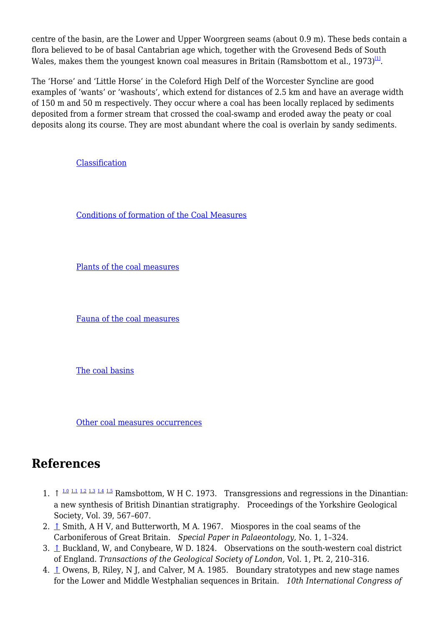centre of the basin, are the Lower and Upper Woorgreen seams (about 0.9 m). These beds contain a flora believed to be of basal Cantabrian age which, together with the Grovesend Beds of South Wales, makes them the youngest known coal measures in Britain (Ramsbottom et al., 1973) $^{\text{11}}$ .

The 'Horse' and 'Little Horse' in the Coleford High Delf of the Worcester Syncline are good examples of 'wants' or 'washouts', which extend for distances of 2.5 km and have an average width of 150 m and 50 m respectively. They occur where a coal has been locally replaced by sediments deposited from a former stream that crossed the coal-swamp and eroded away the peaty or coal deposits along its course. They are most abundant where the coal is overlain by sandy sediments.

[Classification](http://earthwise.bgs.ac.uk/index.php/Upper_Carboniferous_(Westphalian_and_Stephanian)_and_its_classification,_Bristol_and_Gloucester_region#Classification)

[Conditions of formation of the Coal Measures](http://earthwise.bgs.ac.uk/index.php/Conditions_of_formation_of_the_Carboniferous_Coal_Measures_and_their_fauna_and_flora,_Bristol_and_Gloucester_region)

[Plants of the coal measures](http://earthwise.bgs.ac.uk/index.php/Conditions_of_formation_of_the_Carboniferous_Coal_Measures_and_their_fauna_and_flora,_Bristol_and_Gloucester_region#Plants_of_the_coal_measures)

[Fauna of the coal measures](http://earthwise.bgs.ac.uk/index.php/Conditions_of_formation_of_the_Carboniferous_Coal_Measures_and_their_fauna_and_flora,_Bristol_and_Gloucester_region#Fauna_of_the_coal_measures)

[The coal basins](http://earthwise.bgs.ac.uk/index.php/The_Carboniferous_coal_basins,_Bristol_and_Gloucester_region)

[Other coal measures occurrences](http://earthwise.bgs.ac.uk/index.php/The_Carboniferous_coal_basins,_Bristol_and_Gloucester_region#Other_coal_measures_occurrences)

## **References**

- 1.  $\uparrow$   $\frac{1.0 \text{ } 1.1 \text{ } 1.2 \text{ } 1.3 \text{ } 1.4 \text{ } 1.5}{2}$  $\frac{1.0 \text{ } 1.1 \text{ } 1.2 \text{ } 1.3 \text{ } 1.4 \text{ } 1.5}{2}$  $\frac{1.0 \text{ } 1.1 \text{ } 1.2 \text{ } 1.3 \text{ } 1.4 \text{ } 1.5}{2}$  $\frac{1.0 \text{ } 1.1 \text{ } 1.2 \text{ } 1.3 \text{ } 1.4 \text{ } 1.5}{2}$  $\frac{1.0 \text{ } 1.1 \text{ } 1.2 \text{ } 1.3 \text{ } 1.4 \text{ } 1.5}{2}$  $\frac{1.0 \text{ } 1.1 \text{ } 1.2 \text{ } 1.3 \text{ } 1.4 \text{ } 1.5}{2}$  $\frac{1.0 \text{ } 1.1 \text{ } 1.2 \text{ } 1.3 \text{ } 1.4 \text{ } 1.5}{2}$  $\frac{1.0 \text{ } 1.1 \text{ } 1.2 \text{ } 1.3 \text{ } 1.4 \text{ } 1.5}{2}$  $\frac{1.0 \text{ } 1.1 \text{ } 1.2 \text{ } 1.3 \text{ } 1.4 \text{ } 1.5}{2}$  $\frac{1.0 \text{ } 1.1 \text{ } 1.2 \text{ } 1.3 \text{ } 1.4 \text{ } 1.5}{2}$  $\frac{1.0 \text{ } 1.1 \text{ } 1.2 \text{ } 1.3 \text{ } 1.4 \text{ } 1.5}{2}$  $\frac{1.0 \text{ } 1.1 \text{ } 1.2 \text{ } 1.3 \text{ } 1.4 \text{ } 1.5}{2}$  $\frac{1.0 \text{ } 1.1 \text{ } 1.2 \text{ } 1.3 \text{ } 1.4 \text{ } 1.5}{2}$  Ramsbottom, W H C. 1973. Transgressions and regressions in the Dinantian: a new synthesis of British Dinantian stratigraphy. Proceedings of the Yorkshire Geological Society, Vol. 39, 567–607.
- 2. [↑](#page--1-0) Smith, A H V, and Butterworth, M A. 1967. Miospores in the coal seams of the Carboniferous of Great Britain. *Special Paper in Palaeontology,* No. 1, 1–324.
- 3. [↑](#page--1-0) Buckland, W, and Conybeare, W D. 1824. Observations on the south-western coal district of England. *Transactions of the Geological Society of London,* Vol. 1, Pt. 2, 210–316.
- 4. [↑](#page--1-0) Owens, B, Riley, N J, and Calver, M A. 1985. Boundary stratotypes and new stage names for the Lower and Middle Westphalian sequences in Britain. *10th International Congress of*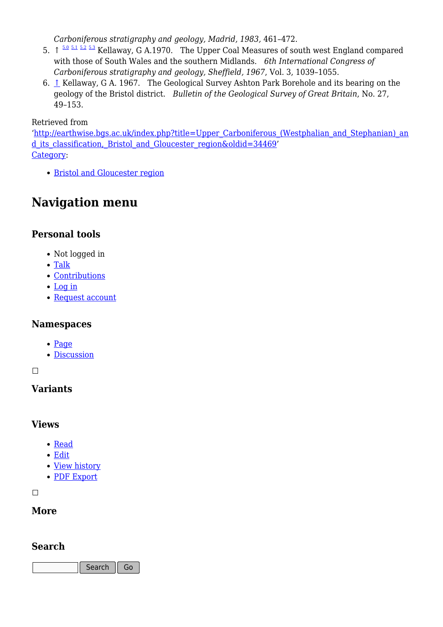*Carboniferous stratigraphy and geology, Madrid, 1983,* 461–472.

- 5.  $\uparrow$   $\frac{5.0 \text{ } 5.1 \text{ } 5.2 \text{ } 5.3}{2}$  $\frac{5.0 \text{ } 5.1 \text{ } 5.2 \text{ } 5.3}{2}$  $\frac{5.0 \text{ } 5.1 \text{ } 5.2 \text{ } 5.3}{2}$  $\frac{5.0 \text{ } 5.1 \text{ } 5.2 \text{ } 5.3}{2}$  $\frac{5.0 \text{ } 5.1 \text{ } 5.2 \text{ } 5.3}{2}$  $\frac{5.0 \text{ } 5.1 \text{ } 5.2 \text{ } 5.3}{2}$  $\frac{5.0 \text{ } 5.1 \text{ } 5.2 \text{ } 5.3}{2}$  $\frac{5.0 \text{ } 5.1 \text{ } 5.2 \text{ } 5.3}{2}$  $\frac{5.0 \text{ } 5.1 \text{ } 5.2 \text{ } 5.3}{2}$  Kellaway, G A.1970. The Upper Coal Measures of south west England compared with those of South Wales and the southern Midlands. *6th International Congress of Carboniferous stratigraphy and geology, Sheffield, 1967*, Vol. 3, 1039–1055.
- 6. [↑](#page--1-0) Kellaway, G A. 1967. The Geological Survey Ashton Park Borehole and its bearing on the geology of the Bristol district. *Bulletin of the Geological Survey of Great Britain*, No. 27, 49–153.

#### Retrieved from

'[http://earthwise.bgs.ac.uk/index.php?title=Upper\\_Carboniferous\\_\(Westphalian\\_and\\_Stephanian\)\\_an](http://earthwise.bgs.ac.uk/index.php?title=Upper_Carboniferous_(Westphalian_and_Stephanian)_and_its_classification,_Bristol_and_Gloucester_region&oldid=34469) d its classification, Bristol and Gloucester region&oldid=34469' [Category](http://earthwise.bgs.ac.uk/index.php/Special:Categories):

• [Bristol and Gloucester region](http://earthwise.bgs.ac.uk/index.php/Category:Bristol_and_Gloucester_region)

## **Navigation menu**

## **Personal tools**

- Not logged in
- [Talk](http://earthwise.bgs.ac.uk/index.php/Special:MyTalk)
- [Contributions](http://earthwise.bgs.ac.uk/index.php/Special:MyContributions)
- [Log in](http://earthwise.bgs.ac.uk/index.php?title=Special:UserLogin&returnto=Upper+Carboniferous+%28Westphalian+and+Stephanian%29+and+its+classification%2C+Bristol+and+Gloucester+region&returntoquery=action%3Dmpdf)
- [Request account](http://earthwise.bgs.ac.uk/index.php/Special:RequestAccount)

### **Namespaces**

- [Page](http://earthwise.bgs.ac.uk/index.php/Upper_Carboniferous_(Westphalian_and_Stephanian)_and_its_classification,_Bristol_and_Gloucester_region)
- [Discussion](http://earthwise.bgs.ac.uk/index.php?title=Talk:Upper_Carboniferous_(Westphalian_and_Stephanian)_and_its_classification,_Bristol_and_Gloucester_region&action=edit&redlink=1)

 $\Box$ 

### **Variants**

#### **Views**

- [Read](http://earthwise.bgs.ac.uk/index.php/Upper_Carboniferous_(Westphalian_and_Stephanian)_and_its_classification,_Bristol_and_Gloucester_region)
- [Edit](http://earthwise.bgs.ac.uk/index.php?title=Upper_Carboniferous_(Westphalian_and_Stephanian)_and_its_classification,_Bristol_and_Gloucester_region&action=edit)
- [View history](http://earthwise.bgs.ac.uk/index.php?title=Upper_Carboniferous_(Westphalian_and_Stephanian)_and_its_classification,_Bristol_and_Gloucester_region&action=history)
- [PDF Export](http://earthwise.bgs.ac.uk/index.php?title=Upper_Carboniferous_(Westphalian_and_Stephanian)_and_its_classification,_Bristol_and_Gloucester_region&action=mpdf)

 $\Box$ 

### **More**

### **Search**

Search Go